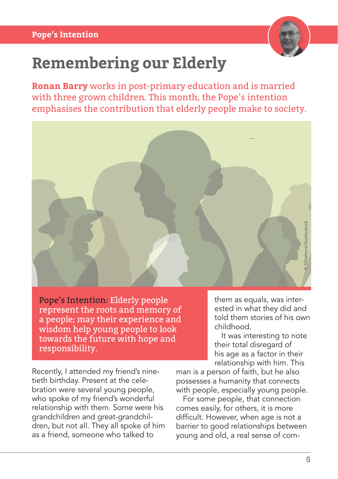

## **Remembering our Elderly**

**Ronan Barry** works in post-primary education and is married with three grown children. This month, the Pope's intention emphasises the contribution that elderly people make to society.



Pope's Intention: Elderly people represent the roots and memory of a people; may their experience and wisdom help young people to look towards the future with hope and responsibility.

Recently, I attended my friend's ninetieth birthday. Present at the celebration were several young people, who spoke of my friend's wonderful relationship with them. Some were his grandchildren and great-grandchildren, but not all. They all spoke of him as a friend, someone who talked to

them as equals, was interested in what they did and told them stories of his own childhood.

It was interesting to note their total disregard of his age as a factor in their relationship with him. This

man is a person of faith, but he also possesses a humanity that connects with people, especially young people.

For some people, that connection comes easily, for others, it is more difficult. However, when age is not a barrier to good relationships between young and old, a real sense of com-